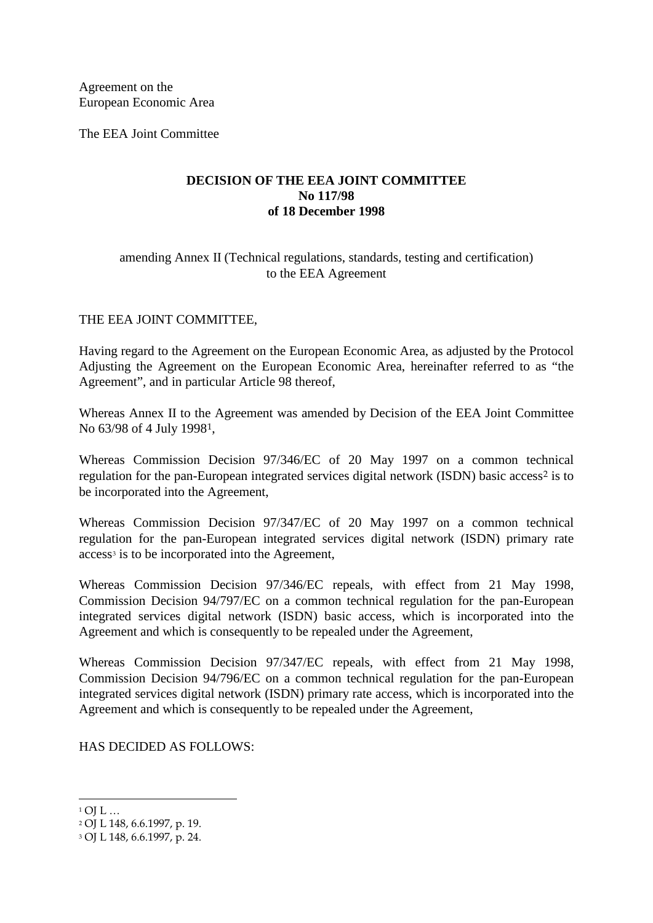Agreement on the European Economic Area

The EEA Joint Committee

# **DECISION OF THE EEA JOINT COMMITTEE No 117/98 of 18 December 1998**

### amending Annex II (Technical regulations, standards, testing and certification) to the EEA Agreement

## THE EEA JOINT COMMITTEE,

Having regard to the Agreement on the European Economic Area, as adjusted by the Protocol Adjusting the Agreement on the European Economic Area, hereinafter referred to as "the Agreement", and in particular Article 98 thereof,

Whereas Annex II to the Agreement was amended by Decision of the EEA Joint Committee No 63/98 of 4 July 1998[1](#page-0-0),

Whereas Commission Decision 97/346/EC of 20 May 1997 on a common technical regulation for the pan-European integrated services digital network (ISDN) basic access<sup>[2](#page-0-1)</sup> is to be incorporated into the Agreement,

Whereas Commission Decision 97/347/EC of 20 May 1997 on a common technical regulation for the pan-European integrated services digital network (ISDN) primary rate access<sup>[3](#page-0-2)</sup> is to be incorporated into the Agreement,

Whereas Commission Decision 97/346/EC repeals, with effect from 21 May 1998, Commission Decision 94/797/EC on a common technical regulation for the pan-European integrated services digital network (ISDN) basic access, which is incorporated into the Agreement and which is consequently to be repealed under the Agreement,

Whereas Commission Decision 97/347/EC repeals, with effect from 21 May 1998, Commission Decision 94/796/EC on a common technical regulation for the pan-European integrated services digital network (ISDN) primary rate access, which is incorporated into the Agreement and which is consequently to be repealed under the Agreement,

HAS DECIDED AS FOLLOWS:

-

<span id="page-0-0"></span> $1$  OI L  $\ldots$ 

<span id="page-0-1"></span><sup>2</sup> OJ L 148, 6.6.1997, p. 19.

<span id="page-0-2"></span><sup>3</sup> OJ L 148, 6.6.1997, p. 24.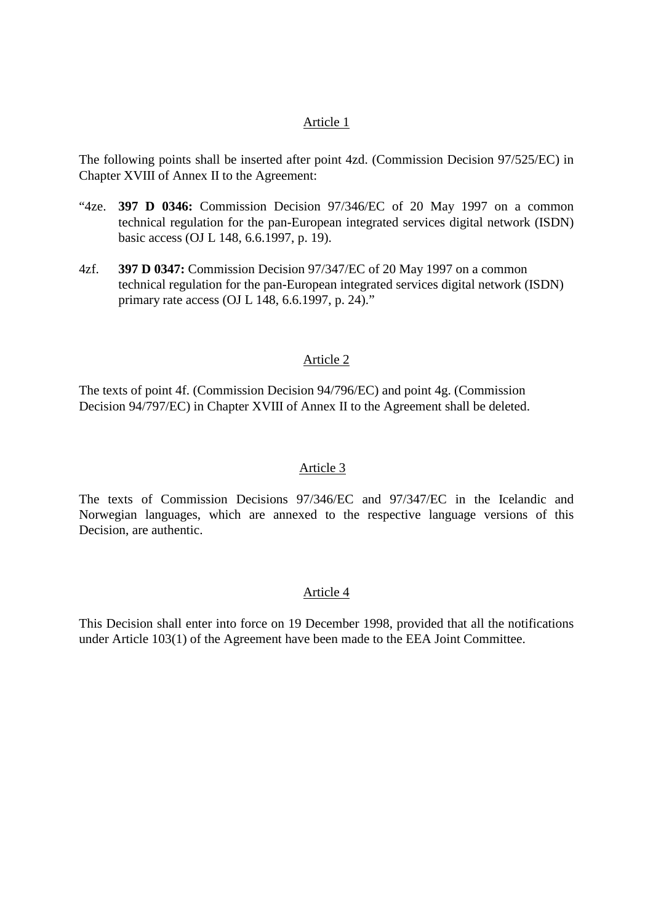### Article 1

The following points shall be inserted after point 4zd. (Commission Decision 97/525/EC) in Chapter XVIII of Annex II to the Agreement:

- "4ze. **397 D 0346:** Commission Decision 97/346/EC of 20 May 1997 on a common technical regulation for the pan-European integrated services digital network (ISDN) basic access (OJ L 148, 6.6.1997, p. 19).
- 4zf. **397 D 0347:** Commission Decision 97/347/EC of 20 May 1997 on a common technical regulation for the pan-European integrated services digital network (ISDN) primary rate access (OJ L 148, 6.6.1997, p. 24)."

#### Article 2

The texts of point 4f. (Commission Decision 94/796/EC) and point 4g. (Commission Decision 94/797/EC) in Chapter XVIII of Annex II to the Agreement shall be deleted.

### Article 3

The texts of Commission Decisions 97/346/EC and 97/347/EC in the Icelandic and Norwegian languages, which are annexed to the respective language versions of this Decision, are authentic.

### Article 4

This Decision shall enter into force on 19 December 1998, provided that all the notifications under Article 103(1) of the Agreement have been made to the EEA Joint Committee.